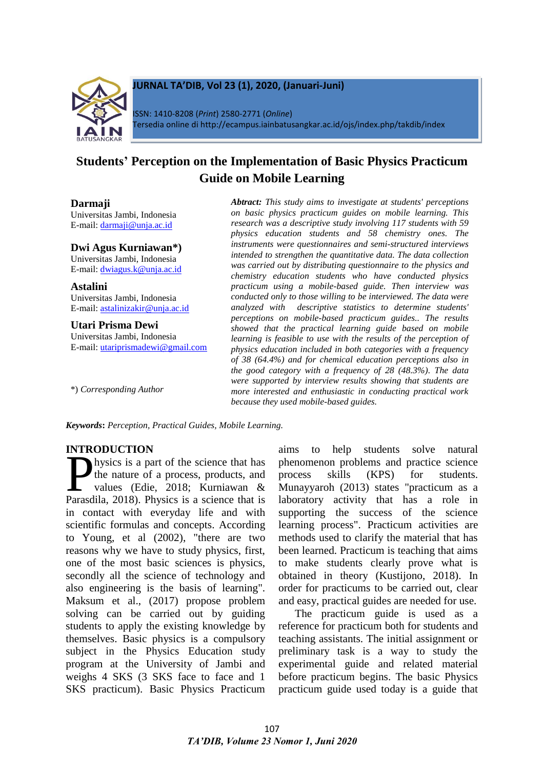

## **JURNAL TA'DIB, Vol 23 (1), 2020, (Januari-Juni)**

ISSN: 1410-8208 (*Print*) 2580-2771 (*Online*) Tersedia online di http://ecampus.iainbatusangkar.ac.id/ojs/index.php/takdib/index

# **Students' Perception on the Implementation of Basic Physics Practicum Guide on Mobile Learning**

#### **Darmaji**

Universitas Jambi, Indonesia E-mail: [darmaji@unja.ac.id](mailto:darmaji@unja.ac.id)

#### **Dwi Agus Kurniawan\*)**

Universitas Jambi, Indonesia E-mail: [dwiagus.k@unja.ac.id](mailto:dwiagus.k@unja.ac.id)

**Astalini** Universitas Jambi, Indonesia E-mail: [astalinizakir@unja.ac.id](mailto:astalinizakir@unja.ac.id)

**Utari Prisma Dewi** Universitas Jambi, Indonesia E-mail: utariprismadewi@gmail.com

\*) *Corresponding Author*

*Abtract: This study aims to investigate at students' perceptions on basic physics practicum guides on mobile learning. This research was a descriptive study involving 117 students with 59 physics education students and 58 chemistry ones. The instruments were questionnaires and semi-structured interviews intended to strengthen the quantitative data. The data collection was carried out by distributing questionnaire to the physics and chemistry education students who have conducted physics practicum using a mobile-based guide. Then interview was conducted only to those willing to be interviewed. The data were analyzed with descriptive statistics to determine students' perceptions on mobile-based practicum guides.. The results showed that the practical learning guide based on mobile learning is feasible to use with the results of the perception of physics education included in both categories with a frequency of 38 (64.4%) and for chemical education perceptions also in the good category with a frequency of 28 (48.3%). The data were supported by interview results showing that students are more interested and enthusiastic in conducting practical work because they used mobile-based guides.*

*Keywords***:** *Perception, Practical Guides, Mobile Learning.*

## **INTRODUCTION**

hysics is a part of the science that has the nature of a process, products, and values (Edie, 2018; Kurniawan & hysics is a part of the science that has<br>the nature of a process, products, and<br>values (Edie, 2018; Kurniawan &<br>Parasdila, 2018). Physics is a science that is in contact with everyday life and with scientific formulas and concepts. According to Young, et al (2002), "there are two reasons why we have to study physics, first, one of the most basic sciences is physics, secondly all the science of technology and also engineering is the basis of learning". Maksum et al., (2017) propose problem solving can be carried out by guiding students to apply the existing knowledge by themselves. Basic physics is a compulsory subject in the Physics Education study program at the University of Jambi and weighs 4 SKS (3 SKS face to face and 1 SKS practicum). Basic Physics Practicum

aims to help students solve natural phenomenon problems and practice science process skills (KPS) for students. Munayyaroh (2013) states "practicum as a laboratory activity that has a role in supporting the success of the science learning process". Practicum activities are methods used to clarify the material that has been learned. Practicum is teaching that aims to make students clearly prove what is obtained in theory (Kustijono, 2018). In order for practicums to be carried out, clear and easy, practical guides are needed for use.

The practicum guide is used as a reference for practicum both for students and teaching assistants. The initial assignment or preliminary task is a way to study the experimental guide and related material before practicum begins. The basic Physics practicum guide used today is a guide that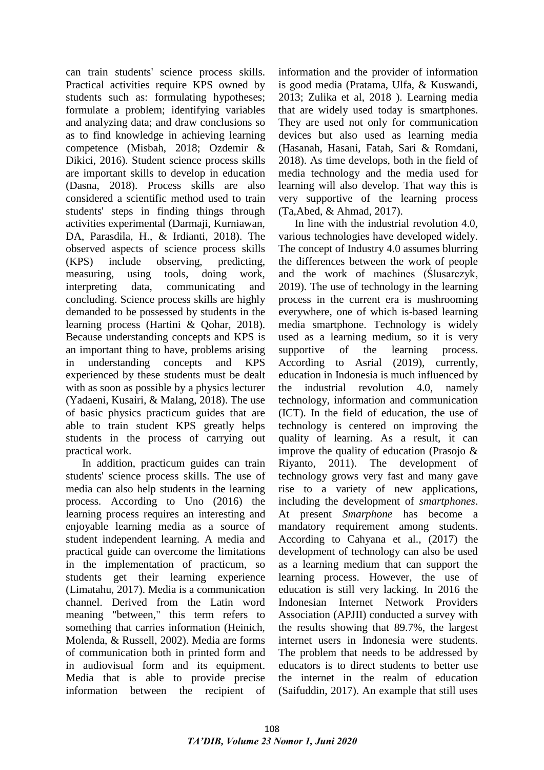can train students' science process skills. Practical activities require KPS owned by students such as: formulating hypotheses; formulate a problem; identifying variables and analyzing data; and draw conclusions so as to find knowledge in achieving learning competence (Misbah, 2018; Ozdemir & Dikici, 2016). Student science process skills are important skills to develop in education (Dasna, 2018). Process skills are also considered a scientific method used to train students' steps in finding things through activities experimental (Darmaji, Kurniawan, DA, Parasdila, H., & Irdianti, 2018). The observed aspects of science process skills (KPS) include observing, predicting, measuring, using tools, doing work, interpreting data, communicating and concluding. Science process skills are highly demanded to be possessed by students in the learning process (Hartini & Qohar, 2018). Because understanding concepts and KPS is an important thing to have, problems arising in understanding concepts and KPS experienced by these students must be dealt with as soon as possible by a physics lecturer (Yadaeni, Kusairi, & Malang, 2018). The use of basic physics practicum guides that are able to train student KPS greatly helps students in the process of carrying out practical work.

In addition, practicum guides can train students' science process skills. The use of media can also help students in the learning process. According to Uno (2016) the learning process requires an interesting and enjoyable learning media as a source of student independent learning. A media and practical guide can overcome the limitations in the implementation of practicum, so students get their learning experience (Limatahu, 2017). Media is a communication channel. Derived from the Latin word meaning "between," this term refers to something that carries information (Heinich, Molenda, & Russell, 2002). Media are forms of communication both in printed form and in audiovisual form and its equipment. Media that is able to provide precise information between the recipient of

information and the provider of information is good media (Pratama, Ulfa, & Kuswandi, 2013; Zulika et al, 2018 ). Learning media that are widely used today is smartphones. They are used not only for communication devices but also used as learning media (Hasanah, Hasani, Fatah, Sari & Romdani, 2018). As time develops, both in the field of media technology and the media used for learning will also develop. That way this is very supportive of the learning process (Ta,Abed, & Ahmad, 2017).

In line with the industrial revolution 4.0, various technologies have developed widely. The concept of Industry 4.0 assumes blurring the differences between the work of people and the work of machines (Ślusarczyk, 2019). The use of technology in the learning process in the current era is mushrooming everywhere, one of which is-based learning media smartphone. Technology is widely used as a learning medium, so it is very supportive of the learning process. According to Asrial (2019), currently, education in Indonesia is much influenced by the industrial revolution 4.0, namely technology, information and communication (ICT). In the field of education, the use of technology is centered on improving the quality of learning. As a result, it can improve the quality of education (Prasojo & Riyanto, 2011). The development of technology grows very fast and many gave rise to a variety of new applications, including the development of *smartphones*. At present *Smarphone* has become a mandatory requirement among students. According to Cahyana et al., (2017) the development of technology can also be used as a learning medium that can support the learning process. However, the use of education is still very lacking. In 2016 the Indonesian Internet Network Providers Association (APJII) conducted a survey with the results showing that 89.7%, the largest internet users in Indonesia were students. The problem that needs to be addressed by educators is to direct students to better use the internet in the realm of education (Saifuddin, 2017). An example that still uses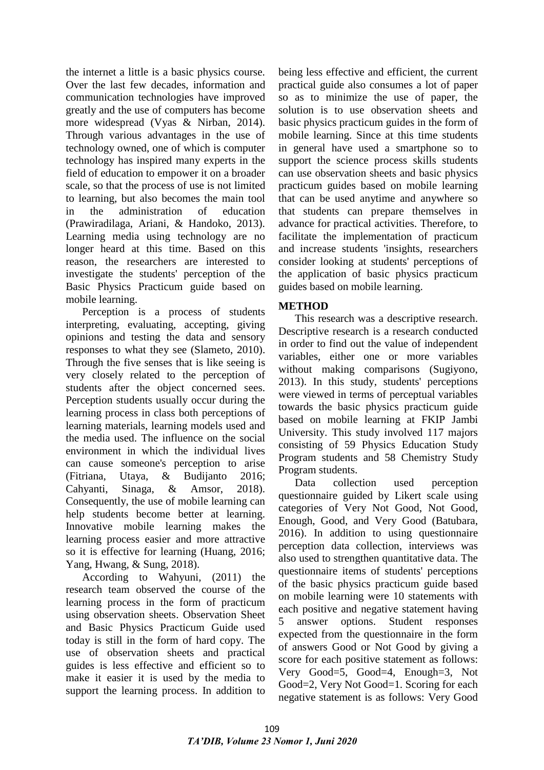the internet a little is a basic physics course. Over the last few decades, information and communication technologies have improved greatly and the use of computers has become more widespread (Vyas & Nirban, 2014). Through various advantages in the use of technology owned, one of which is computer technology has inspired many experts in the field of education to empower it on a broader scale, so that the process of use is not limited to learning, but also becomes the main tool in the administration of education (Prawiradilaga, Ariani, & Handoko, 2013). Learning media using technology are no longer heard at this time. Based on this reason, the researchers are interested to investigate the students' perception of the Basic Physics Practicum guide based on mobile learning.

Perception is a process of students interpreting, evaluating, accepting, giving opinions and testing the data and sensory responses to what they see (Slameto, 2010). Through the five senses that is like seeing is very closely related to the perception of students after the object concerned sees. Perception students usually occur during the learning process in class both perceptions of learning materials, learning models used and the media used. The influence on the social environment in which the individual lives can cause someone's perception to arise (Fitriana, Utaya, & Budijanto 2016; Cahyanti, Sinaga, & Amsor, 2018). Consequently, the use of mobile learning can help students become better at learning. Innovative mobile learning makes the learning process easier and more attractive so it is effective for learning (Huang, 2016; Yang, Hwang, & Sung, 2018).

According to Wahyuni, (2011) the research team observed the course of the learning process in the form of practicum using observation sheets. Observation Sheet and Basic Physics Practicum Guide used today is still in the form of hard copy. The use of observation sheets and practical guides is less effective and efficient so to make it easier it is used by the media to support the learning process. In addition to

being less effective and efficient, the current practical guide also consumes a lot of paper so as to minimize the use of paper, the solution is to use observation sheets and basic physics practicum guides in the form of mobile learning. Since at this time students in general have used a smartphone so to support the science process skills students can use observation sheets and basic physics practicum guides based on mobile learning that can be used anytime and anywhere so that students can prepare themselves in advance for practical activities. Therefore, to facilitate the implementation of practicum and increase students 'insights, researchers consider looking at students' perceptions of the application of basic physics practicum guides based on mobile learning.

## **METHOD**

This research was a descriptive research. Descriptive research is a research conducted in order to find out the value of independent variables, either one or more variables without making comparisons (Sugiyono, 2013). In this study, students' perceptions were viewed in terms of perceptual variables towards the basic physics practicum guide based on mobile learning at FKIP Jambi University. This study involved 117 majors consisting of 59 Physics Education Study Program students and 58 Chemistry Study Program students.

Data collection used perception questionnaire guided by Likert scale using categories of Very Not Good, Not Good, Enough, Good, and Very Good (Batubara, 2016). In addition to using questionnaire perception data collection, interviews was also used to strengthen quantitative data. The questionnaire items of students' perceptions of the basic physics practicum guide based on mobile learning were 10 statements with each positive and negative statement having 5 answer options. Student responses expected from the questionnaire in the form of answers Good or Not Good by giving a score for each positive statement as follows: Very Good=5, Good=4, Enough=3, Not Good=2, Very Not Good=1. Scoring for each negative statement is as follows: Very Good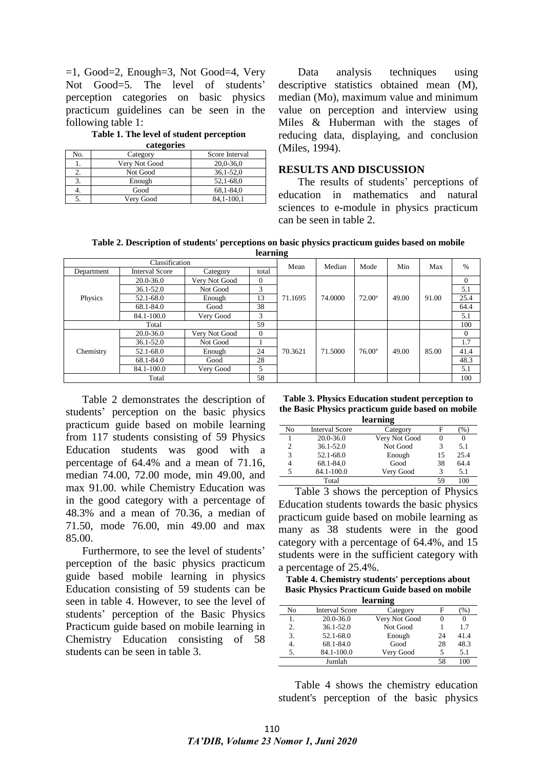$=1$ , Good=2, Enough=3, Not Good=4, Very Not Good=5. The level of students' perception categories on basic physics practicum guidelines can be seen in the following table 1:

**Table 1. The level of student perception categories**

| categories |               |                |  |  |
|------------|---------------|----------------|--|--|
| No.        | Category      | Score Interval |  |  |
| 1.         | Very Not Good | $20,0-36,0$    |  |  |
|            | Not Good      | $36,1-52,0$    |  |  |
| 3.         | Enough        | 52,1-68,0      |  |  |
| 4.         | Good          | 68.1-84.0      |  |  |
|            | Very Good     | 84,1-100,1     |  |  |

Data analysis techniques using descriptive statistics obtained mean (M), median (Mo), maximum value and minimum value on perception and interview using Miles & Huberman with the stages of reducing data, displaying, and conclusion (Miles, 1994).

#### **RESULTS AND DISCUSSION**

The results of students' perceptions of education in mathematics and natural sciences to e-module in physics practicum can be seen in table 2.

**Table 2. Description of students' perceptions on basic physics practicum guides based on mobile learning**

| Classification |                       |               | -<br>Mean    | Median  | Mode    | Min             | Max   | $\frac{0}{0}$ |          |
|----------------|-----------------------|---------------|--------------|---------|---------|-----------------|-------|---------------|----------|
| Department     | <b>Interval Score</b> | Category      | total        |         |         |                 |       |               |          |
| Physics        | $20.0 - 36.0$         | Very Not Good | $\theta$     | 71.1695 | 74.0000 | $72.00^{\circ}$ | 49.00 | 91.00         | $\Omega$ |
|                | $36.1 - 52.0$         | Not Good      | 3            |         |         |                 |       |               | 5.1      |
|                | 52.1-68.0             | Enough        | 13           |         |         |                 |       |               | 25.4     |
|                | 68.1-84.0             | Good          | 38           |         |         |                 |       |               | 64.4     |
|                | 84.1-100.0            | Very Good     | 3            |         |         |                 |       |               | 5.1      |
|                | 59<br>Total           |               |              |         |         |                 |       |               | 100      |
|                | $20.0 - 36.0$         | Very Not Good | $\mathbf{0}$ | 70.3621 | 71.5000 | $76.00^{\circ}$ | 49.00 | 85.00         | $\Omega$ |
| Chemistry      | $36.1 - 52.0$         | Not Good      |              |         |         |                 |       |               | 1.7      |
|                | 52.1-68.0             | Enough        | 24           |         |         |                 |       |               | 41.4     |
|                | 68.1-84.0             | Good          | 28           |         |         |                 |       |               | 48.3     |
|                | 84.1-100.0            | Very Good     | 5            |         |         |                 |       |               | 5.1      |
| 58<br>Total    |                       |               |              |         |         |                 |       | 100           |          |

Table 2 demonstrates the description of students' perception on the basic physics practicum guide based on mobile learning from 117 students consisting of 59 Physics Education students was good with a percentage of 64.4% and a mean of 71.16, median 74.00, 72.00 mode, min 49.00, and max 91.00. while Chemistry Education was in the good category with a percentage of 48.3% and a mean of 70.36, a median of 71.50, mode 76.00, min 49.00 and max 85.00.

Furthermore, to see the level of students' perception of the basic physics practicum guide based mobile learning in physics Education consisting of 59 students can be seen in table 4. However, to see the level of students' perception of the Basic Physics Practicum guide based on mobile learning in Chemistry Education consisting of 58 students can be seen in table 3.

**Table 3. Physics Education student perception to the Basic Physics practicum guide based on mobile learning**

| ісаі шшя |                       |               |    |      |  |  |
|----------|-----------------------|---------------|----|------|--|--|
| No       | <b>Interval Score</b> | Category      | F  | $\%$ |  |  |
|          | 20.0-36.0             | Very Not Good |    |      |  |  |
| 2        | $36.1 - 52.0$         | Not Good      | 3  | 5.1  |  |  |
| 3        | 52.1-68.0             | Enough        | 15 | 25.4 |  |  |
| 4        | 68.1-84.0             | Good          | 38 | 64.4 |  |  |
| 5        | 84.1-100.0            | Very Good     | 3  | 5.1  |  |  |
|          | Total                 |               | 59 | 100  |  |  |

Table 3 shows the perception of Physics Education students towards the basic physics practicum guide based on mobile learning as many as 38 students were in the good category with a percentage of 64.4%, and 15 students were in the sufficient category with a percentage of 25.4%.

**Table 4. Chemistry students' perceptions about Basic Physics Practicum Guide based on mobile learning**

| теагищ <u>е</u> |                       |               |    |      |  |  |
|-----------------|-----------------------|---------------|----|------|--|--|
| No              | <b>Interval Score</b> | Category      | F  | $\%$ |  |  |
| 1.              | $20.0 - 36.0$         | Very Not Good |    |      |  |  |
| 2.              | $36.1 - 52.0$         | Not Good      |    | 17   |  |  |
| 3.              | 52.1-68.0             | Enough        | 24 | 41.4 |  |  |
| 4.              | 68.1-84.0             | Good          | 28 | 48.3 |  |  |
| 5.              | 84.1-100.0            | Very Good     |    | 5.1  |  |  |
|                 | Jumlah                |               | 58 |      |  |  |
|                 |                       |               |    |      |  |  |

Table 4 shows the chemistry education student's perception of the basic physics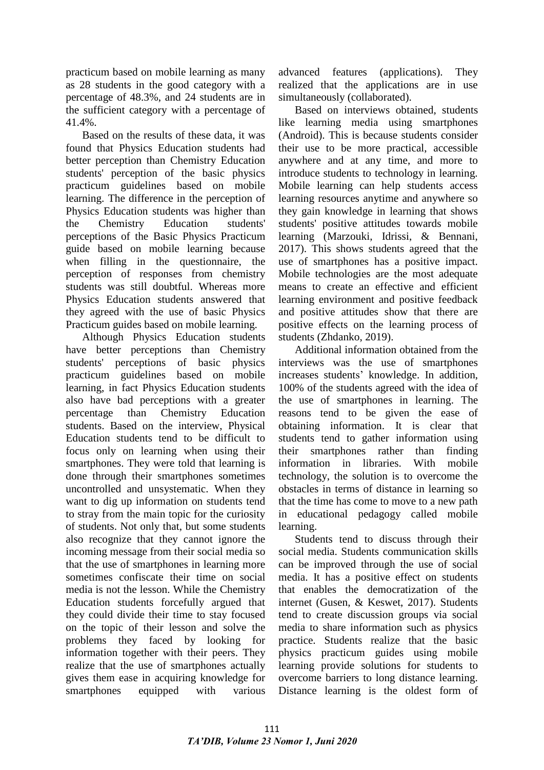practicum based on mobile learning as many as 28 students in the good category with a percentage of 48.3%, and 24 students are in the sufficient category with a percentage of 41.4%.

Based on the results of these data, it was found that Physics Education students had better perception than Chemistry Education students' perception of the basic physics practicum guidelines based on mobile learning. The difference in the perception of Physics Education students was higher than the Chemistry Education students' perceptions of the Basic Physics Practicum guide based on mobile learning because when filling in the questionnaire, the perception of responses from chemistry students was still doubtful. Whereas more Physics Education students answered that they agreed with the use of basic Physics Practicum guides based on mobile learning.

Although Physics Education students have better perceptions than Chemistry students' perceptions of basic physics practicum guidelines based on mobile learning, in fact Physics Education students also have bad perceptions with a greater percentage than Chemistry Education students. Based on the interview, Physical Education students tend to be difficult to focus only on learning when using their smartphones. They were told that learning is done through their smartphones sometimes uncontrolled and unsystematic. When they want to dig up information on students tend to stray from the main topic for the curiosity of students. Not only that, but some students also recognize that they cannot ignore the incoming message from their social media so that the use of smartphones in learning more sometimes confiscate their time on social media is not the lesson. While the Chemistry Education students forcefully argued that they could divide their time to stay focused on the topic of their lesson and solve the problems they faced by looking for information together with their peers. They realize that the use of smartphones actually gives them ease in acquiring knowledge for smartphones equipped with various

advanced features (applications). They realized that the applications are in use simultaneously (collaborated).

Based on interviews obtained, students like learning media using smartphones (Android). This is because students consider their use to be more practical, accessible anywhere and at any time, and more to introduce students to technology in learning. Mobile learning can help students access learning resources anytime and anywhere so they gain knowledge in learning that shows students' positive attitudes towards mobile learning (Marzouki, Idrissi, & Bennani, 2017). This shows students agreed that the use of smartphones has a positive impact. Mobile technologies are the most adequate means to create an effective and efficient learning environment and positive feedback and positive attitudes show that there are positive effects on the learning process of students (Zhdanko, 2019).

Additional information obtained from the interviews was the use of smartphones increases students' knowledge. In addition, 100% of the students agreed with the idea of the use of smartphones in learning. The reasons tend to be given the ease of obtaining information. It is clear that students tend to gather information using their smartphones rather than finding information in libraries. With mobile technology, the solution is to overcome the obstacles in terms of distance in learning so that the time has come to move to a new path in educational pedagogy called mobile learning.

Students tend to discuss through their social media. Students communication skills can be improved through the use of social media. It has a positive effect on students that enables the democratization of the internet (Gusen, & Keswet, 2017). Students tend to create discussion groups via social media to share information such as physics practice. Students realize that the basic physics practicum guides using mobile learning provide solutions for students to overcome barriers to long distance learning. Distance learning is the oldest form of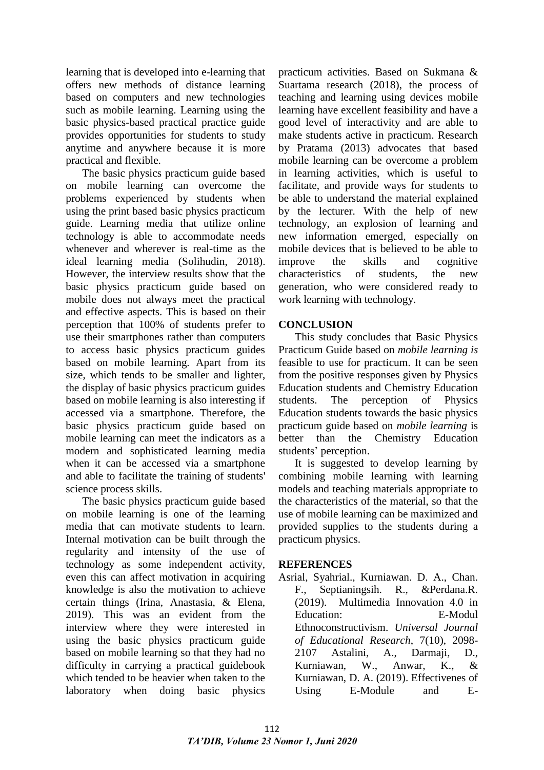learning that is developed into e-learning that offers new methods of distance learning based on computers and new technologies such as mobile learning. Learning using the basic physics-based practical practice guide provides opportunities for students to study anytime and anywhere because it is more practical and flexible.

The basic physics practicum guide based on mobile learning can overcome the problems experienced by students when using the print based basic physics practicum guide. Learning media that utilize online technology is able to accommodate needs whenever and wherever is real-time as the ideal learning media (Solihudin, 2018). However, the interview results show that the basic physics practicum guide based on mobile does not always meet the practical and effective aspects. This is based on their perception that 100% of students prefer to use their smartphones rather than computers to access basic physics practicum guides based on mobile learning. Apart from its size, which tends to be smaller and lighter, the display of basic physics practicum guides based on mobile learning is also interesting if accessed via a smartphone. Therefore, the basic physics practicum guide based on mobile learning can meet the indicators as a modern and sophisticated learning media when it can be accessed via a smartphone and able to facilitate the training of students' science process skills.

The basic physics practicum guide based on mobile learning is one of the learning media that can motivate students to learn. Internal motivation can be built through the regularity and intensity of the use of technology as some independent activity, even this can affect motivation in acquiring knowledge is also the motivation to achieve certain things (Irina, Anastasia, & Elena, 2019). This was an evident from the interview where they were interested in using the basic physics practicum guide based on mobile learning so that they had no difficulty in carrying a practical guidebook which tended to be heavier when taken to the laboratory when doing basic physics

practicum activities. Based on Sukmana & Suartama research (2018), the process of teaching and learning using devices mobile learning have excellent feasibility and have a good level of interactivity and are able to make students active in practicum. Research by Pratama (2013) advocates that based mobile learning can be overcome a problem in learning activities, which is useful to facilitate, and provide ways for students to be able to understand the material explained by the lecturer. With the help of new technology, an explosion of learning and new information emerged, especially on mobile devices that is believed to be able to improve the skills and cognitive characteristics of students, the new generation, who were considered ready to work learning with technology.

## **CONCLUSION**

This study concludes that Basic Physics Practicum Guide based on *mobile learning is*  feasible to use for practicum. It can be seen from the positive responses given by Physics Education students and Chemistry Education students. The perception of Physics Education students towards the basic physics practicum guide based on *mobile learning* is better than the Chemistry Education students' perception.

It is suggested to develop learning by combining mobile learning with learning models and teaching materials appropriate to the characteristics of the material, so that the use of mobile learning can be maximized and provided supplies to the students during a practicum physics.

## **REFERENCES**

Asrial, Syahrial., Kurniawan. D. A., Chan. F., Septianingsih. R., &Perdana.R. (2019). Multimedia Innovation 4.0 in Education: E-Modul Ethnoconstructivism. *Universal Journal of Educational Research*, 7(10), 2098- 2107 Astalini, A., Darmaji, D., Kurniawan, W., Anwar, K., & Kurniawan, D. A. (2019). Effectivenes of Using E-Module and E-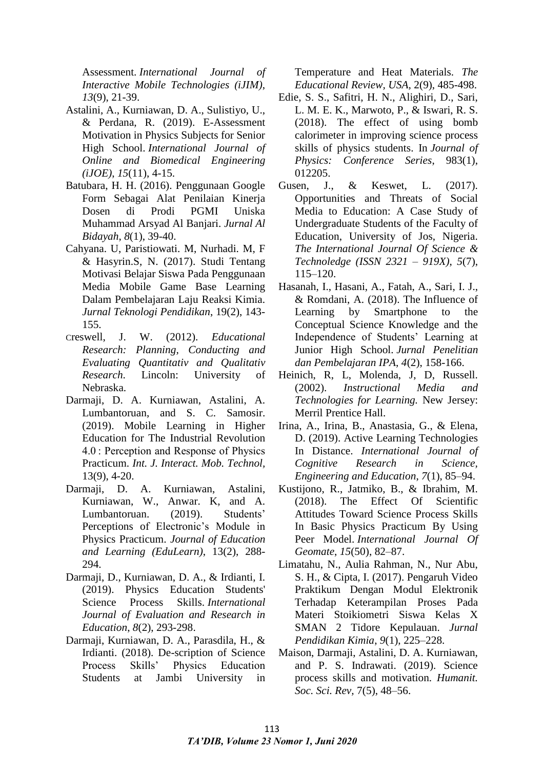Assessment. *International Journal of Interactive Mobile Technologies (iJIM)*, *13*(9), 21-39.

- Astalini, A., Kurniawan, D. A., Sulistiyo, U., & Perdana, R. (2019). E-Assessment Motivation in Physics Subjects for Senior High School. *International Journal of Online and Biomedical Engineering (iJOE)*, *15*(11), 4-15.
- Batubara, H. H. (2016). Penggunaan Google Form Sebagai Alat Penilaian Kinerja Dosen di Prodi PGMI Uniska Muhammad Arsyad Al Banjari. *Jurnal Al Bidayah*, *8*(1), 39-40.
- Cahyana. U, Paristiowati. M, Nurhadi. M, F & Hasyrin.S, N. (2017). Studi Tentang Motivasi Belajar Siswa Pada Penggunaan Media Mobile Game Base Learning Dalam Pembelajaran Laju Reaksi Kimia. *Jurnal Teknologi Pendidikan*, 19(2), 143- 155.
- Creswell, J. W. (2012). *Educational Research: Planning, Conducting and Evaluating Quantitativ and Qualitativ Research*. Lincoln: University of Nebraska.
- Darmaji, D. A. Kurniawan, Astalini, A. Lumbantoruan, and S. C. Samosir. (2019). Mobile Learning in Higher Education for The Industrial Revolution 4.0 : Perception and Response of Physics Practicum. *Int. J. Interact. Mob. Technol,*  13(9), 4-20.
- Darmaji, D. A. Kurniawan, Astalini, Kurniawan, W., Anwar. K, and A. Lumbantoruan. (2019). Students' Perceptions of Electronic's Module in Physics Practicum. *Journal of Education and Learning (EduLearn)*, 13(2), 288- 294.
- Darmaji, D., Kurniawan, D. A., & Irdianti, I. (2019). Physics Education Students' Science Process Skills. *International Journal of Evaluation and Research in Education*, *8*(2), 293-298.
- Darmaji, Kurniawan, D. A., Parasdila, H., & Irdianti. (2018). De-scription of Science Process Skills' Physics Education Students at Jambi University in

Temperature and Heat Materials. *The Educational Review, USA,* 2(9), 485-498.

- Edie, S. S., Safitri, H. N., Alighiri, D., Sari, L. M. E. K., Marwoto, P., & Iswari, R. S. (2018). The effect of using bomb calorimeter in improving science process skills of physics students. In *Journal of Physics: Conference Series*, 983(1), 012205.
- Gusen, J., & Keswet, L. (2017). Opportunities and Threats of Social Media to Education: A Case Study of Undergraduate Students of the Faculty of Education, University of Jos, Nigeria. *The International Journal Of Science & Technoledge (ISSN 2321 – 919X)*, *5*(7), 115–120.
- Hasanah, I., Hasani, A., Fatah, A., Sari, I. J., & Romdani, A. (2018). The Influence of Learning by Smartphone to the Conceptual Science Knowledge and the Independence of Students' Learning at Junior High School. *Jurnal Penelitian dan Pembelajaran IPA*, *4*(2), 158-166.
- Heinich, R, L, Molenda, J, D, Russell. (2002). *Instructional Media and Technologies for Learning.* New Jersey: Merril Prentice Hall.
- Irina, A., Irina, B., Anastasia, G., & Elena, D. (2019). Active Learning Technologies In Distance. *International Journal of Cognitive Research in Science, Engineering and Education*, *7*(1), 85–94.
- Kustijono, R., Jatmiko, B., & Ibrahim, M. (2018). The Effect Of Scientific Attitudes Toward Science Process Skills In Basic Physics Practicum By Using Peer Model. *International Journal Of Geomate*, *15*(50), 82–87.
- Limatahu, N., Aulia Rahman, N., Nur Abu, S. H., & Cipta, I. (2017). Pengaruh Video Praktikum Dengan Modul Elektronik Terhadap Keterampilan Proses Pada Materi Stoikiometri Siswa Kelas X SMAN 2 Tidore Kepulauan. *Jurnal Pendidikan Kimia*, *9*(1), 225–228.
- Maison, Darmaji, Astalini, D. A. Kurniawan, and P. S. Indrawati. (2019). Science process skills and motivation. *Humanit. Soc. Sci. Rev,* 7(5), 48–56.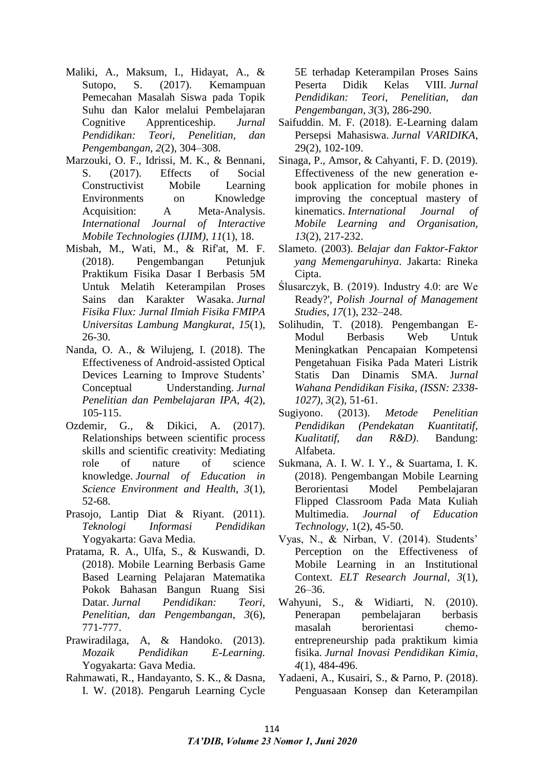- Maliki, A., Maksum, I., Hidayat, A., & Sutopo, S. (2017). Kemampuan Pemecahan Masalah Siswa pada Topik Suhu dan Kalor melalui Pembelajaran Cognitive Apprenticeship. *Jurnal Pendidikan: Teori, Penelitian, dan Pengembangan, 2*(2), 304–308.
- Marzouki, O. F., Idrissi, M. K., & Bennani, S. (2017). Effects of Social Constructivist Mobile Learning Environments on Knowledge Acquisition: A Meta-Analysis. *International Journal of Interactive Mobile Technologies (IJIM)*, *11*(1), 18.
- Misbah, M., Wati, M., & Rif'at, M. F. (2018). Pengembangan Petunjuk Praktikum Fisika Dasar I Berbasis 5M Untuk Melatih Keterampilan Proses Sains dan Karakter Wasaka. *Jurnal Fisika Flux: Jurnal Ilmiah Fisika FMIPA Universitas Lambung Mangkurat*, *15*(1), 26-30.
- Nanda, O. A., & Wilujeng, I. (2018). The Effectiveness of Android-assisted Optical Devices Learning to Improve Students' Conceptual Understanding. *Jurnal Penelitian dan Pembelajaran IPA*, *4*(2), 105-115.
- Ozdemir, G., & Dikici, A. (2017). Relationships between scientific process skills and scientific creativity: Mediating role of nature of science knowledge. *Journal of Education in Science Environment and Health*, *3*(1), 52-68.
- Prasojo, Lantip Diat & Riyant. (2011). *Teknologi Informasi Pendidikan*  Yogyakarta: Gava Media*.*
- Pratama, R. A., Ulfa, S., & Kuswandi, D. (2018). Mobile Learning Berbasis Game Based Learning Pelajaran Matematika Pokok Bahasan Bangun Ruang Sisi Datar. *Jurnal Pendidikan: Teori, Penelitian, dan Pengembangan*, *3*(6), 771-777.
- Prawiradilaga, A, & Handoko. (2013). *Mozaik Pendidikan E-Learning.* Yogyakarta: Gava Media*.*
- Rahmawati, R., Handayanto, S. K., & Dasna, I. W. (2018). Pengaruh Learning Cycle

5E terhadap Keterampilan Proses Sains Peserta Didik Kelas VIII. *Jurnal Pendidikan: Teori, Penelitian, dan Pengembangan*, *3*(3), 286-290.

- Saifuddin. M. F. (2018). E-Learning dalam Persepsi Mahasiswa. *Jurnal VARIDIKA*, 29(2), 102-109.
- Sinaga, P., Amsor, & Cahyanti, F. D. (2019). Effectiveness of the new generation ebook application for mobile phones in improving the conceptual mastery of kinematics. *International Journal of Mobile Learning and Organisation*, *13*(2), 217-232.
- Slameto. (2003). *Belajar dan Faktor-Faktor yang Memengaruhinya*. Jakarta: Rineka Cipta.
- Ślusarczyk, B. (2019). Industry 4.0: are We Ready?', *Polish Journal of Management Studies*, *17*(1), 232–248.
- Solihudin, T. (2018). Pengembangan E-Modul Berbasis Web Untuk Meningkatkan Pencapaian Kompetensi Pengetahuan Fisika Pada Materi Listrik Statis Dan Dinamis SMA. J*urnal Wahana Pendidikan Fisika*, *(ISSN: 2338- 1027)*, *3*(2), 51-61.
- Sugiyono. (2013). *Metode Penelitian Pendidikan (Pendekatan Kuantitatif, Kualitatif, dan R&D)*. Bandung: Alfabeta.
- Sukmana, A. I. W. I. Y., & Suartama, I. K. (2018). Pengembangan Mobile Learning Berorientasi Model Pembelajaran Flipped Classroom Pada Mata Kuliah Multimedia. *Journal of Education Technology*, 1(2), 45-50.
- Vyas, N., & Nirban, V. (2014). Students' Perception on the Effectiveness of Mobile Learning in an Institutional Context. *ELT Research Journal*, *3*(1), 26–36.
- Wahyuni, S., & Widiarti, N. (2010). Penerapan pembelajaran berbasis masalah berorientasi chemoentrepreneurship pada praktikum kimia fisika. *Jurnal Inovasi Pendidikan Kimia*, *4*(1), 484-496.
- Yadaeni, A., Kusairi, S., & Parno, P. (2018). Penguasaan Konsep dan Keterampilan